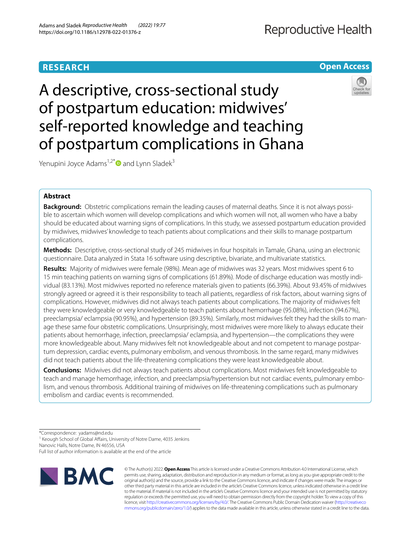# **RESEARCH**

# **Reproductive Health**

**Open Access**

# A descriptive, cross-sectional study of postpartum education: midwives' self-reported knowledge and teaching of postpartum complications in Ghana

Yenupini Joyce Adams<sup>1,2[\\*](http://orcid.org/0000-0002-4558-8704)</sup> $\bullet$  and Lynn Sladek<sup>3</sup>

# **Abstract**

**Background:** Obstetric complications remain the leading causes of maternal deaths. Since it is not always possible to ascertain which women will develop complications and which women will not, all women who have a baby should be educated about warning signs of complications. In this study, we assessed postpartum education provided by midwives, midwives' knowledge to teach patients about complications and their skills to manage postpartum complications.

**Methods:** Descriptive, cross-sectional study of 245 midwives in four hospitals in Tamale, Ghana, using an electronic questionnaire. Data analyzed in Stata 16 software using descriptive, bivariate, and multivariate statistics.

**Results:** Majority of midwives were female (98%). Mean age of midwives was 32 years. Most midwives spent 6 to 15 min teaching patients on warning signs of complications (61.89%). Mode of discharge education was mostly individual (83.13%). Most midwives reported no reference materials given to patients (66.39%). About 93.45% of midwives strongly agreed or agreed it is their responsibility to teach all patients, regardless of risk factors, about warning signs of complications. However, midwives did not always teach patients about complications. The majority of midwives felt they were knowledgeable or very knowledgeable to teach patients about hemorrhage (95.08%), infection (94.67%), preeclampsia/ eclampsia (90.95%), and hypertension (89.35%). Similarly, most midwives felt they had the skills to manage these same four obstetric complications. Unsurprisingly, most midwives were more likely to always educate their patients about hemorrhage, infection, preeclampsia/ eclampsia, and hypertension—the complications they were more knowledgeable about. Many midwives felt not knowledgeable about and not competent to manage postpartum depression, cardiac events, pulmonary embolism, and venous thrombosis. In the same regard, many midwives did not teach patients about the life-threatening complications they were least knowledgeable about.

**Conclusions:** Midwives did not always teach patients about complications. Most midwives felt knowledgeable to teach and manage hemorrhage, infection, and preeclampsia/hypertension but not cardiac events, pulmonary embolism, and venous thrombosis. Additional training of midwives on life-threatening complications such as pulmonary embolism and cardiac events is recommended.

<sup>1</sup> Keough School of Global Affairs, University of Notre Dame, 4035 Jenkins

Nanovic Halls, Notre Dame, IN 46556, USA

Full list of author information is available at the end of the article



© The Author(s) 2022. **Open Access** This article is licensed under a Creative Commons Attribution 4.0 International License, which permits use, sharing, adaptation, distribution and reproduction in any medium or format, as long as you give appropriate credit to the original author(s) and the source, provide a link to the Creative Commons licence, and indicate if changes were made. The images or other third party material in this article are included in the article's Creative Commons licence, unless indicated otherwise in a credit line to the material. If material is not included in the article's Creative Commons licence and your intended use is not permitted by statutory regulation or exceeds the permitted use, you will need to obtain permission directly from the copyright holder. To view a copy of this licence, visit [http://creativecommons.org/licenses/by/4.0/.](http://creativecommons.org/licenses/by/4.0/) The Creative Commons Public Domain Dedication waiver ([http://creativeco](http://creativecommons.org/publicdomain/zero/1.0/) [mmons.org/publicdomain/zero/1.0/](http://creativecommons.org/publicdomain/zero/1.0/)) applies to the data made available in this article, unless otherwise stated in a credit line to the data.



<sup>\*</sup>Correspondence: yadams@nd.edu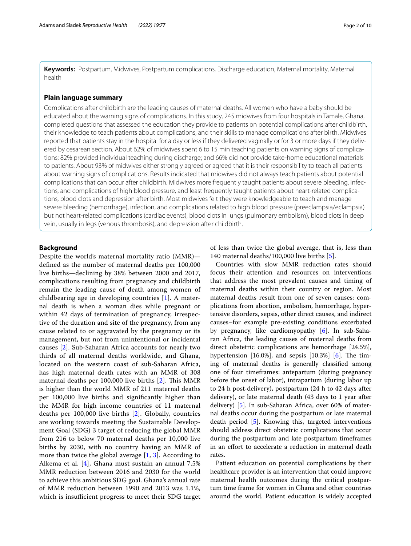**Keywords:** Postpartum, Midwives, Postpartum complications, Discharge education, Maternal mortality, Maternal health

#### **Plain language summary**

Complications after childbirth are the leading causes of maternal deaths. All women who have a baby should be educated about the warning signs of complications. In this study, 245 midwives from four hospitals in Tamale, Ghana, completed questions that assessed the education they provide to patients on potential complications after childbirth, their knowledge to teach patients about complications, and their skills to manage complications after birth. Midwives reported that patients stay in the hospital for a day or less if they delivered vaginally or for 3 or more days if they delivered by cesarean section. About 62% of midwives spent 6 to 15 min teaching patients on warning signs of complications; 82% provided individual teaching during discharge; and 66% did not provide take-home educational materials to patients. About 93% of midwives either strongly agreed or agreed that it is their responsibility to teach all patients about warning signs of complications. Results indicated that midwives did not always teach patients about potential complications that can occur after childbirth. Midwives more frequently taught patients about severe bleeding, infections, and complications of high blood pressure, and least frequently taught patients about heart-related complications, blood clots and depression after birth. Most midwives felt they were knowledgeable to teach and manage severe bleeding (hemorrhage), infection, and complications related to high blood pressure (preeclampsia/eclampsia) but not heart-related complications (cardiac events), blood clots in lungs (pulmonary embolism), blood clots in deep vein, usually in legs (venous thrombosis), and depression after childbirth.

#### **Background**

Despite the world's maternal mortality ratio (MMR) defned as the number of maternal deaths per 100,000 live births—declining by 38% between 2000 and 2017, complications resulting from pregnancy and childbirth remain the leading cause of death among women of childbearing age in developing countries [[1\]](#page-8-0). A maternal death is when a woman dies while pregnant or within 42 days of termination of pregnancy, irrespective of the duration and site of the pregnancy, from any cause related to or aggravated by the pregnancy or its management, but not from unintentional or incidental causes [\[2](#page-8-1)]. Sub-Saharan Africa accounts for nearly two thirds of all maternal deaths worldwide, and Ghana, located on the western coast of sub-Saharan Africa, has high maternal death rates with an MMR of 308 maternal deaths per 100,000 live births  $[2]$  $[2]$ . This MMR is higher than the world MMR of 211 maternal deaths per 100,000 live births and signifcantly higher than the MMR for high income countries of 11 maternal deaths per 100,000 live births [[2\]](#page-8-1). Globally, countries are working towards meeting the Sustainable Development Goal (SDG) 3 target of reducing the global MMR from 216 to below 70 maternal deaths per 10,000 live births by 2030, with no country having an MMR of more than twice the global average [[1,](#page-8-0) [3\]](#page-8-2). According to Alkema et al. [[4](#page-8-3)], Ghana must sustain an annual 7.5% MMR reduction between 2016 and 2030 for the world to achieve this ambitious SDG goal. Ghana's annual rate of MMR reduction between 1990 and 2013 was 1.1%, which is insufficient progress to meet their SDG target

of less than twice the global average, that is, less than 140 maternal deaths/100,000 live births [[5\]](#page-9-0).

Countries with slow MMR reduction rates should focus their attention and resources on interventions that address the most prevalent causes and timing of maternal deaths within their country or region. Most maternal deaths result from one of seven causes: complications from abortion, embolism, hemorrhage, hypertensive disorders, sepsis, other direct causes, and indirect causes–for example pre-existing conditions excerbated by pregnancy, like cardiomyopathy [[6\]](#page-9-1). In sub-Saharan Africa, the leading causes of maternal deaths from direct obstetric complications are hemorrhage [24.5%], hypertension  $[16.0\%]$ , and sepsis  $[10.3\%]$  [\[6](#page-9-1)]. The timing of maternal deaths is generally classifed among one of four timeframes: antepartum (during pregnancy before the onset of labor), intrapartum (during labor up to 24 h post-delivery), postpartum (24 h to 42 days after delivery), or late maternal death (43 days to 1 year after delivery) [[5\]](#page-9-0). In sub-Saharan Africa, over 60% of maternal deaths occur during the postpartum or late maternal death period [[5\]](#page-9-0). Knowing this, targeted interventions should address direct obstetric complications that occur during the postpartum and late postpartum timeframes in an efort to accelerate a reduction in maternal death rates.

Patient education on potential complications by their healthcare provider is an intervention that could improve maternal health outcomes during the critical postpartum time frame for women in Ghana and other countries around the world. Patient education is widely accepted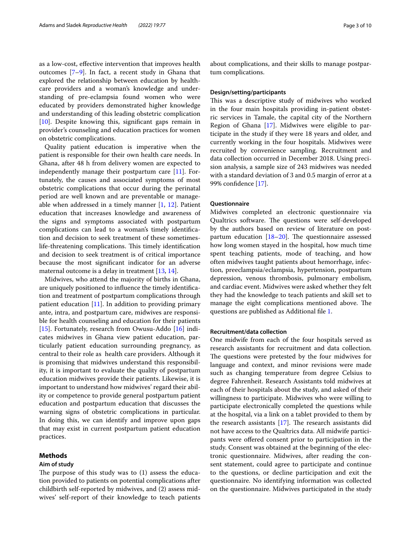as a low-cost, efective intervention that improves health outcomes [\[7–](#page-9-2)[9\]](#page-9-3). In fact, a recent study in Ghana that explored the relationship between education by healthcare providers and a woman's knowledge and understanding of pre-eclampsia found women who were educated by providers demonstrated higher knowledge and understanding of this leading obstetric complication [[10\]](#page-9-4). Despite knowing this, signifcant gaps remain in provider's counseling and education practices for women on obstetric complications.

Quality patient education is imperative when the patient is responsible for their own health care needs. In Ghana, after 48 h from delivery women are expected to independently manage their postpartum care [\[11](#page-9-5)]. Fortunately, the causes and associated symptoms of most obstetric complications that occur during the perinatal period are well known and are preventable or manageable when addressed in a timely manner [[1,](#page-8-0) [12\]](#page-9-6). Patient education that increases knowledge and awareness of the signs and symptoms associated with postpartum complications can lead to a woman's timely identifcation and decision to seek treatment of these sometimeslife-threatening complications. This timely identification and decision to seek treatment is of critical importance because the most signifcant indicator for an adverse maternal outcome is a delay in treatment [[13,](#page-9-7) [14](#page-9-8)].

Midwives, who attend the majority of births in Ghana, are uniquely positioned to infuence the timely identifcation and treatment of postpartum complications through patient education [[11](#page-9-5)]. In addition to providing primary ante, intra, and postpartum care, midwives are responsible for health counseling and education for their patients [[15\]](#page-9-9). Fortunately, research from Owusu-Addo [\[16](#page-9-10)] indicates midwives in Ghana view patient education, particularly patient education surrounding pregnancy, as central to their role as health care providers. Although it is promising that midwives understand this responsibility, it is important to evaluate the quality of postpartum education midwives provide their patients. Likewise, it is important to understand how midwives' regard their ability or competence to provide general postpartum patient education and postpartum education that discusses the warning signs of obstetric complications in particular. In doing this, we can identify and improve upon gaps that may exist in current postpartum patient education practices.

# **Methods**

#### **Aim of study**

The purpose of this study was to  $(1)$  assess the education provided to patients on potential complications after childbirth self-reported by midwives, and (2) assess midwives' self-report of their knowledge to teach patients about complications, and their skills to manage postpartum complications.

#### **Design/setting/participants**

This was a descriptive study of midwives who worked in the four main hospitals providing in-patient obstetric services in Tamale, the capital city of the Northern Region of Ghana [[17\]](#page-9-11). Midwives were eligible to participate in the study if they were 18 years and older, and currently working in the four hospitals. Midwives were recruited by convenience sampling. Recruitment and data collection occurred in December 2018. Using precision analysis, a sample size of 243 midwives was needed with a standard deviation of 3 and 0.5 margin of error at a 99% confdence [[17](#page-9-11)].

#### **Questionnaire**

Midwives completed an electronic questionnaire via Qualtrics software. The questions were self-developed by the authors based on review of literature on postpartum education  $[18-20]$  $[18-20]$ . The questionnaire assessed how long women stayed in the hospital, how much time spent teaching patients, mode of teaching, and how often midwives taught patients about hemorrhage, infection, preeclampsia/eclampsia, hypertension, postpartum depression, venous thrombosis, pulmonary embolism, and cardiac event. Midwives were asked whether they felt they had the knowledge to teach patients and skill set to manage the eight complications mentioned above. The questions are published as Additional fle [1.](#page-8-4)

#### **Recruitment/data collection**

One midwife from each of the four hospitals served as research assistants for recruitment and data collection. The questions were pretested by the four midwives for language and context, and minor revisions were made such as changing temperature from degree Celsius to degree Fahrenheit. Research Assistants told midwives at each of their hospitals about the study, and asked of their willingness to participate. Midwives who were willing to participate electronically completed the questions while at the hospital, via a link on a tablet provided to them by the research assistants  $[17]$  $[17]$ . The research assistants did not have access to the Qualtrics data. All midwife participants were ofered consent prior to participation in the study. Consent was obtained at the beginning of the electronic questionnaire. Midwives, after reading the consent statement, could agree to participate and continue to the questions, or decline participation and exit the questionnaire. No identifying information was collected on the questionnaire. Midwives participated in the study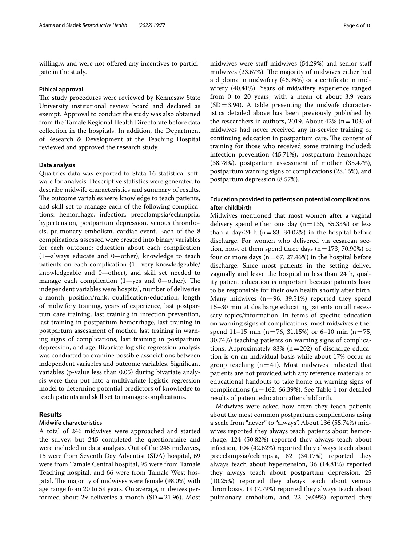willingly, and were not offered any incentives to participate in the study.

#### **Ethical approval**

The study procedures were reviewed by Kennesaw State University institutional review board and declared as exempt. Approval to conduct the study was also obtained from the Tamale Regional Health Directorate before data collection in the hospitals. In addition, the Department of Research & Development at the Teaching Hospital reviewed and approved the research study.

#### **Data analysis**

Qualtrics data was exported to Stata 16 statistical software for analysis. Descriptive statistics were generated to describe midwife characteristics and summary of results. The outcome variables were knowledge to teach patients, and skill set to manage each of the following complications: hemorrhage, infection, preeclampsia/eclampsia, hypertension, postpartum depression, venous thrombosis, pulmonary embolism, cardiac event. Each of the 8 complications assessed were created into binary variables for each outcome: education about each complication (1—always educate and 0—other), knowledge to teach patients on each complication (1—very knowledgeable/ knowledgeable and 0—other), and skill set needed to manage each complication  $(1 - yes$  and  $0 - other)$ . The independent variables were hospital, number of deliveries a month, position/rank, qualifcation/education, length of midwifery training, years of experience, last postpartum care training, last training in infection prevention, last training in postpartum hemorrhage, last training in postpartum assessment of mother, last training in warning signs of complications, last training in postpartum depression, and age. Bivariate logistic regression analysis was conducted to examine possible associations between independent variables and outcome variables. Signifcant variables (p-value less than 0.05) during bivariate analysis were then put into a multivariate logistic regression model to determine potential predictors of knowledge to teach patients and skill set to manage complications.

#### **Results**

# **Midwife characteristics**

A total of 246 midwives were approached and started the survey, but 245 completed the questionnaire and were included in data analysis. Out of the 245 midwives, 15 were from Seventh Day Adventist (SDA) hospital, 69 were from Tamale Central hospital, 95 were from Tamale Teaching hospital, and 66 were from Tamale West hospital. The majority of midwives were female (98.0%) with age range from 20 to 59 years. On average, midwives performed about 29 deliveries a month (SD=21.96). Most

midwives were staff midwives (54.29%) and senior staff midwives (23.67%). The majority of midwives either had a diploma in midwifery (46.94%) or a certifcate in midwifery (40.41%). Years of midwifery experience ranged from 0 to 20 years, with a mean of about 3.9 years  $(SD = 3.94)$ . A table presenting the midwife characteristics detailed above has been previously published by the researchers in authors, 2019. About  $42\%$  (n = 103) of midwives had never received any in-service training or continuing education in postpartum care. The content of training for those who received some training included: infection prevention (45.71%), postpartum hemorrhage (38.78%), postpartum assessment of mother (33.47%), postpartum warning signs of complications (28.16%), and postpartum depression (8.57%).

### **Education provided to patients on potential complications after childbirth**

Midwives mentioned that most women after a vaginal delivery spend either one day  $(n=135, 55.33%)$  or less than a day/24 h ( $n=83$ , 34.02%) in the hospital before discharge. For women who delivered via cesarean section, most of them spend three days ( $n=173, 70.90\%$ ) or four or more days ( $n=67, 27.46\%$ ) in the hospital before discharge. Since most patients in the setting deliver vaginally and leave the hospital in less than 24 h, quality patient education is important because patients have to be responsible for their own health shortly after birth. Many midwives  $(n=96, 39.51%)$  reported they spend 15–30 min at discharge educating patients on all necessary topics/information. In terms of specifc education on warning signs of complications, most midwives either spend 11–15 min (n=76, 31.15%) or 6–10 min (n=75, 30.74%) teaching patients on warning signs of complications. Approximately 83% ( $n=202$ ) of discharge education is on an individual basis while about 17% occur as group teaching  $(n=41)$ . Most midwives indicated that patients are not provided with any reference materials or educational handouts to take home on warning signs of complications ( $n=162$  $n=162$  $n=162$ , 66.39%). See Table 1 for detailed results of patient education after childbirth.

Midwives were asked how often they teach patients about the most common postpartum complications using a scale from "never" to "always". About 136 (55.74%) midwives reported they always teach patients about hemorrhage, 124 (50.82%) reported they always teach about infection, 104 (42.62%) reported they always teach about preeclampsia/eclampsia, 82 (34.17%) reported they always teach about hypertension, 36 (14.81%) reported they always teach about postpartum depression, 25 (10.25%) reported they always teach about venous thrombosis, 19 (7.79%) reported they always teach about pulmonary embolism, and 22 (9.09%) reported they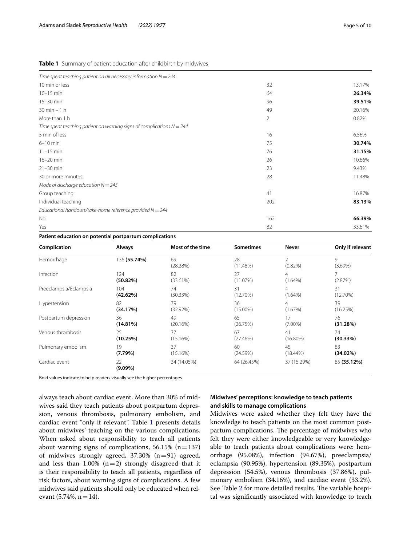<span id="page-4-0"></span>

|  |  |  | <b>Table 1</b> Summary of patient education after childbirth by midwives |
|--|--|--|--------------------------------------------------------------------------|
|  |  |  |                                                                          |

| Time spent teaching patient on all necessary information $N = 244$      |     |        |
|-------------------------------------------------------------------------|-----|--------|
| 10 min or less                                                          | 32  | 13.17% |
| $10-15$ min                                                             | 64  | 26.34% |
| 15-30 min                                                               | 96  | 39.51% |
| $30$ min $-1$ h                                                         | 49  | 20.16% |
| More than 1 h                                                           | 2   | 0.82%  |
| Time spent teaching patient on warning signs of complications $N = 244$ |     |        |
| 5 min of less                                                           | 16  | 6.56%  |
| $6-10$ min                                                              | 75  | 30.74% |
| $11 - 15$ min                                                           | 76  | 31.15% |
| 16-20 min                                                               | 26  | 10.66% |
| $21-30$ min                                                             | 23  | 9.43%  |
| 30 or more minutes                                                      | 28  | 11.48% |
| Mode of discharge education $N = 243$                                   |     |        |
| Group teaching                                                          | 41  | 16.87% |
| Individual teaching                                                     | 202 | 83.13% |
| Educational handouts/take-home reference provided $N = 244$             |     |        |
| No                                                                      | 162 | 66.39% |
| Yes                                                                     | 82  | 33.61% |

#### **Patient education on potential postpartum complications**

| Complication           | Always           | Most of the time | <b>Sometimes</b> | Never                        | Only if relevant |
|------------------------|------------------|------------------|------------------|------------------------------|------------------|
| Hemorrhage             | 136 (55.74%)     | 69<br>(28.28%)   | 28<br>(11.48%)   | $\mathfrak{D}$<br>$(0.82\%)$ | 9<br>$(3.69\%)$  |
| Infection              | 124<br>(50.82%)  | 82<br>(33.61%)   | 27<br>(11.07%)   | $\overline{4}$<br>$(1.64\%)$ | (2.87%)          |
| Preeclampsia/Eclampsia | 104              | 74               | 31               | 4                            | 31               |
|                        | (42.62%)         | (30.33%)         | $(12.70\%)$      | $(1.64\%)$                   | (12.70%)         |
| Hypertension           | 82               | 79               | 36               | $\overline{4}$               | 39               |
|                        | (34.17%)         | $(32.92\%)$      | $(15.00\%)$      | (1.67%)                      | (16.25%)         |
| Postpartum depression  | 36               | 49               | 65               | 17                           | 76               |
|                        | (14.81%)         | (20.16%)         | (26.75%)         | $(7.00\%)$                   | (31.28%)         |
| Venous thrombosis      | 25               | 37               | 67               | 41                           | 74               |
|                        | (10.25%)         | (15.16%)         | (27.46%)         | $(16.80\%)$                  | (30.33%)         |
| Pulmonary embolism     | 19               | 37               | 60               | 45                           | 83               |
|                        | (7.79%)          | (15.16%)         | (24.59%)         | $(18.44\%)$                  | $(34.02\%)$      |
| Cardiac event          | 22<br>$(9.09\%)$ | 34 (14.05%)      | 64 (26.45%)      | 37 (15.29%)                  | 85 (35.12%)      |

Bold values indicate to help readers visually see the higher percentages

always teach about cardiac event. More than 30% of midwives said they teach patients about postpartum depression, venous thrombosis, pulmonary embolism, and cardiac event "only if relevant". Table [1](#page-4-0) presents details about midwives' teaching on the various complications. When asked about responsibility to teach all patients about warning signs of complications,  $56.15\%$  (n=137) of midwives strongly agreed,  $37.30\%$  (n=91) agreed, and less than 1.00%  $(n=2)$  strongly disagreed that it is their responsibility to teach all patients, regardless of risk factors, about warning signs of complications. A few midwives said patients should only be educated when relevant  $(5.74\%, n=14)$ .

#### **Midwives' perceptions: knowledge to teach patients and skills to manage complications**

Midwives were asked whether they felt they have the knowledge to teach patients on the most common postpartum complications. The percentage of midwives who felt they were either knowledgeable or very knowledgeable to teach patients about complications were: hemorrhage (95.08%), infection (94.67%), preeclampsia/ eclampsia (90.95%), hypertension (89.35%), postpartum depression (54.5%), venous thrombosis (37.86%), pulmonary embolism (34.16%), and cardiac event (33.2%). See Table [2](#page-5-0) for more detailed results. The variable hospital was signifcantly associated with knowledge to teach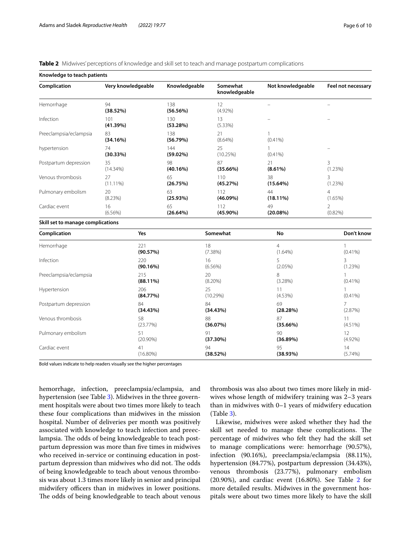<span id="page-5-0"></span>

|  |  |  |  | Table 2 Midwives' perceptions of knowledge and skill set to teach and manage postpartum complications |  |
|--|--|--|--|-------------------------------------------------------------------------------------------------------|--|
|--|--|--|--|-------------------------------------------------------------------------------------------------------|--|

| Knowledge to teach patients        |                    |                    |                           |                              |                              |
|------------------------------------|--------------------|--------------------|---------------------------|------------------------------|------------------------------|
| Complication<br>Very knowledgeable |                    | Knowledgeable      | Somewhat<br>knowledgeable | Not knowledgeable            | Feel not necessary           |
| Hemorrhage                         | 94<br>(38.52%)     | 138<br>(56.56%)    | 12<br>$(4.92\%)$          | $\overline{a}$               |                              |
| Infection                          | 101<br>(41.39%)    | 130<br>(53.28%)    | 13<br>$(5.33\%)$          |                              |                              |
| Preeclampsia/eclampsia             | 83<br>(34.16%)     | 138<br>(56.79%)    | 21<br>$(8.64\%)$          | 1<br>$(0.41\%)$              |                              |
| hypertension                       | 74<br>(30.33%)     | 144<br>$(59.02\%)$ | 25<br>(10.25%)            | 1<br>$(0.41\%)$              |                              |
| Postpartum depression              | 35<br>(14.34%)     | 98<br>(40.16%)     | 87<br>(35.66%)            | 21<br>$(8.61\%)$             | $\overline{3}$<br>(1.23%)    |
| Venous thrombosis                  | 27<br>$(11.11\%)$  | 65<br>(26.75%)     | 110<br>(45.27%)           | 38<br>(15.64%)               | 3<br>$(1.23\%)$              |
| Pulmonary embolism                 | 20<br>(8.23%)      | 63<br>(25.93%)     | 112<br>$(46.09\%)$        | 44<br>$(18.11\%)$            | $\overline{4}$<br>(1.65%)    |
| Cardiac event                      | 16<br>$(6.56\%)$   | 65<br>(26.64%)     | 112<br>$(45.90\%)$        | 49<br>(20.08%)               | $\overline{2}$<br>$(0.82\%)$ |
| Skill set to manage complications  |                    |                    |                           |                              |                              |
| Complication                       | Yes                |                    | Somewhat                  | No                           | Don't know                   |
| Hemorrhage                         | 221<br>(90.57%)    |                    | 18<br>(7.38%)             | $\overline{4}$<br>$(1.64\%)$ | 1<br>$(0.41\%)$              |
| Infection                          | 220<br>(90.16%)    |                    | 16<br>$(6.56\%)$          | 5<br>$(2.05\%)$              | 3<br>(1.23%)                 |
| Preeclampsia/eclampsia             | 215<br>$(88.11\%)$ |                    | 20<br>$(8.20\%)$          | 8<br>(3.28%)                 | 1<br>$(0.41\%)$              |
| Hypertension                       | 206<br>(84.77%)    |                    | 25<br>(10.29%)            | 11<br>(4.53%)                | 1<br>$(0.41\%)$              |
| Postpartum depression              | 84<br>(34.43%)     |                    | 84<br>(34.43%)            | 69<br>(28.28%)               | 7<br>(2.87%)                 |
| Venous thrombosis                  | 58<br>(23.77%)     |                    | 88<br>(36.07%)            | 87<br>(35.66%)               | 11<br>$(4.51\%)$             |
| Pulmonary embolism                 | 51<br>$(20.90\%)$  |                    | 91<br>(37.30%)            | 90<br>(36.89%)               | 12<br>$(4.92\%)$             |

94 **(38.52%)**

Bold values indicate to help readers visually see the higher percentages

(16.80%)

Cardiac event 41

hemorrhage, infection, preeclampsia/eclampsia, and hypertension (see Table [3](#page-6-0)). Midwives in the three government hospitals were about two times more likely to teach these four complications than midwives in the mission hospital. Number of deliveries per month was positively associated with knowledge to teach infection and preeclampsia. The odds of being knowledgeable to teach postpartum depression was more than fve times in midwives who received in-service or continuing education in postpartum depression than midwives who did not. The odds of being knowledgeable to teach about venous thrombosis was about 1.3 times more likely in senior and principal midwifery officers than in midwives in lower positions. The odds of being knowledgeable to teach about venous

thrombosis was also about two times more likely in midwives whose length of midwifery training was 2–3 years than in midwives with 0–1 years of midwifery education (Table [3\)](#page-6-0).

14 (5.74%)

95 **(38.93%)**

Likewise, midwives were asked whether they had the skill set needed to manage these complications. The percentage of midwives who felt they had the skill set to manage complications were: hemorrhage (90.57%), infection (90.16%), preeclampsia/eclampsia (88.11%), hypertension (84.77%), postpartum depression (34.43%), venous thrombosis (23.77%), pulmonary embolism  $(20.90\%)$ , and cardiac event  $(16.80\%)$ . See Table [2](#page-5-0) for more detailed results. Midwives in the government hospitals were about two times more likely to have the skill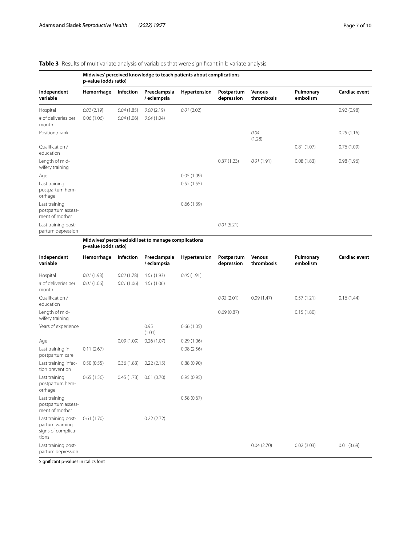# <span id="page-6-0"></span>**Table 3** Results of multivariate analysis of variables that were significant in bivariate analysis

| Independent<br>variable                               | Midwives' perceived knowledge to teach patients about complications<br>p-value (odds ratio) |            |                                                       |              |                          |                             |                       |                      |  |  |
|-------------------------------------------------------|---------------------------------------------------------------------------------------------|------------|-------------------------------------------------------|--------------|--------------------------|-----------------------------|-----------------------|----------------------|--|--|
|                                                       | Hemorrhage                                                                                  | Infection  | Preeclampsia<br>/ eclampsia                           | Hypertension | Postpartum<br>depression | <b>Venous</b><br>thrombosis | Pulmonary<br>embolism | <b>Cardiac event</b> |  |  |
| Hospital                                              | 0.02(2.19)                                                                                  | 0.04(1.85) | 0.00(2.19)                                            | 0.01(2.02)   |                          |                             |                       | 0.92(0.98)           |  |  |
| # of deliveries per<br>month                          | 0.06(1.06)                                                                                  | 0.04(1.06) | 0.04(1.04)                                            |              |                          |                             |                       |                      |  |  |
| Position / rank                                       |                                                                                             |            |                                                       |              |                          | 0.04<br>(1.28)              |                       | 0.25(1.16)           |  |  |
| Qualification /<br>education                          |                                                                                             |            |                                                       |              |                          |                             | 0.81(1.07)            | 0.76(1.09)           |  |  |
| Length of mid-<br>wifery training                     |                                                                                             |            |                                                       |              | 0.37(1.23)               | 0.01(1.91)                  | 0.08(1.83)            | 0.98(1.96)           |  |  |
| Age                                                   |                                                                                             |            |                                                       | 0.05(1.09)   |                          |                             |                       |                      |  |  |
| Last training<br>postpartum hem-<br>orrhage           |                                                                                             |            |                                                       | 0.52(1.55)   |                          |                             |                       |                      |  |  |
| Last training<br>postpartum assess-<br>ment of mother |                                                                                             |            |                                                       | 0.66(1.39)   |                          |                             |                       |                      |  |  |
| Last training post-<br>partum depression              |                                                                                             |            |                                                       |              | 0.01(5.21)               |                             |                       |                      |  |  |
|                                                       |                                                                                             |            | Midwives' perceived skill set to manage complications |              |                          |                             |                       |                      |  |  |

**Midwives' perceived skill set to manage complications p-value (odds ratio)**

| Independent<br>variable                                              | Hemorrhage | Infection  | Preeclampsia<br>/ eclampsia | Hypertension | Postpartum<br>depression | Venous<br>thrombosis | Pulmonary<br>embolism | <b>Cardiac event</b> |
|----------------------------------------------------------------------|------------|------------|-----------------------------|--------------|--------------------------|----------------------|-----------------------|----------------------|
| Hospital                                                             | 0.01(1.93) | 0.02(1.78) | 0.01(1.93)                  | 0.00(1.91)   |                          |                      |                       |                      |
| # of deliveries per<br>month                                         | 0.01(1.06) | 0.01(1.06) | 0.01(1.06)                  |              |                          |                      |                       |                      |
| Qualification /<br>education                                         |            |            |                             |              | 0.02(2.01)               | 0.09(1.47)           | 0.57(1.21)            | 0.16(1.44)           |
| Length of mid-<br>wifery training                                    |            |            |                             |              | 0.69(0.87)               |                      | 0.15(1.80)            |                      |
| Years of experience                                                  |            |            | 0.95<br>(1.01)              | 0.66(1.05)   |                          |                      |                       |                      |
| Age                                                                  |            | 0.09(1.09) | 0.26(1.07)                  | 0.29(1.06)   |                          |                      |                       |                      |
| Last training in<br>postpartum care                                  | 0.11(2.67) |            |                             | 0.08(2.56)   |                          |                      |                       |                      |
| Last training infec-<br>tion prevention                              | 0.50(0.55) | 0.36(1.83) | 0.22(2.15)                  | 0.88(0.90)   |                          |                      |                       |                      |
| Last training<br>postpartum hem-<br>orrhage                          | 0.65(1.56) | 0.45(1.73) | 0.61(0.70)                  | 0.95(0.95)   |                          |                      |                       |                      |
| Last training<br>postpartum assess-<br>ment of mother                |            |            |                             | 0.58(0.67)   |                          |                      |                       |                      |
| Last training post-<br>partum warning<br>signs of complica-<br>tions | 0.61(1.70) |            | 0.22(2.72)                  |              |                          |                      |                       |                      |
| Last training post-<br>partum depression                             |            |            |                             |              |                          | 0.04(2.70)           | 0.02(3.03)            | 0.01(3.69)           |

Signifcant p-values in italics font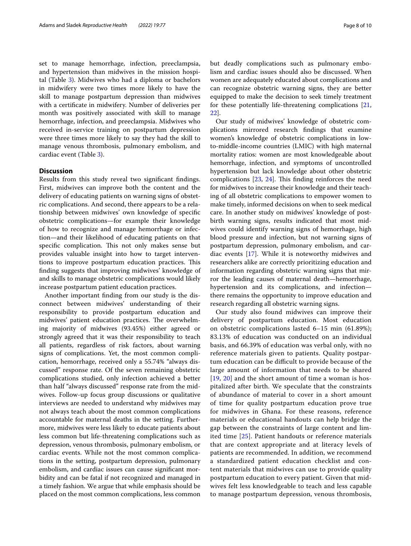set to manage hemorrhage, infection, preeclampsia, and hypertension than midwives in the mission hospital (Table [3](#page-6-0)). Midwives who had a diploma or bachelors in midwifery were two times more likely to have the skill to manage postpartum depression than midwives with a certifcate in midwifery. Number of deliveries per month was positively associated with skill to manage hemorrhage, infection, and preeclampsia. Midwives who received in-service training on postpartum depression were three times more likely to say they had the skill to manage venous thrombosis, pulmonary embolism, and cardiac event (Table [3\)](#page-6-0).

#### **Discussion**

Results from this study reveal two signifcant fndings. First, midwives can improve both the content and the delivery of educating patients on warning signs of obstetric complications. And second, there appears to be a relationship between midwives' own knowledge of specifc obstetric complications—for example their knowledge of how to recognize and manage hemorrhage or infection—and their likelihood of educating patients on that specific complication. This not only makes sense but provides valuable insight into how to target interventions to improve postpartum education practices. This fnding suggests that improving midwives' knowledge of and skills to manage obstetric complications would likely increase postpartum patient education practices.

Another important fnding from our study is the disconnect between midwives' understanding of their responsibility to provide postpartum education and midwives' patient education practices. The overwhelming majority of midwives (93.45%) either agreed or strongly agreed that it was their responsibility to teach all patients, regardless of risk factors, about warning signs of complications. Yet, the most common complication, hemorrhage, received only a 55.74% "always discussed" response rate. Of the seven remaining obstetric complications studied, only infection achieved a better than half "always discussed" response rate from the midwives. Follow-up focus group discussions or qualitative interviews are needed to understand why midwives may not always teach about the most common complications accountable for maternal deaths in the setting. Furthermore, midwives were less likely to educate patients about less common but life-threatening complications such as depression, venous thrombosis, pulmonary embolism, or cardiac events. While not the most common complications in the setting, postpartum depression, pulmonary embolism, and cardiac issues can cause signifcant morbidity and can be fatal if not recognized and managed in a timely fashion. We argue that while emphasis should be placed on the most common complications, less common but deadly complications such as pulmonary embolism and cardiac issues should also be discussed. When women are adequately educated about complications and can recognize obstetric warning signs, they are better equipped to make the decision to seek timely treatment for these potentially life-threatening complications [[21](#page-9-14), [22\]](#page-9-15).

Our study of midwives' knowledge of obstetric complications mirrored research fndings that examine women's knowledge of obstetric complications in lowto-middle-income countries (LMIC) with high maternal mortality ratios: women are most knowledgeable about hemorrhage, infection, and symptoms of uncontrolled hypertension but lack knowledge about other obstetric complications  $[23, 24]$  $[23, 24]$  $[23, 24]$  $[23, 24]$ . This finding reinforces the need for midwives to increase their knowledge and their teaching of all obstetric complications to empower women to make timely, informed decisions on when to seek medical care. In another study on midwives' knowledge of postbirth warning signs, results indicated that most midwives could identify warning signs of hemorrhage, high blood pressure and infection, but not warning signs of postpartum depression, pulmonary embolism, and cardiac events [\[17](#page-9-11)]. While it is noteworthy midwives and researchers alike are correctly prioritizing education and information regarding obstetric warning signs that mirror the leading causes of maternal death—hemorrhage, hypertension and its complications, and infection there remains the opportunity to improve education and research regarding all obstetric warning signs.

Our study also found midwives can improve their delivery of postpartum education. Most education on obstetric complications lasted 6–15 min (61.89%); 83.13% of education was conducted on an individual basis, and 66.39% of education was verbal only, with no reference materials given to patients. Quality postpartum education can be difficult to provide because of the large amount of information that needs to be shared [[19](#page-9-18), [20\]](#page-9-13) and the short amount of time a woman is hospitalized after birth. We speculate that the constraints of abundance of material to cover in a short amount of time for quality postpartum education prove true for midwives in Ghana. For these reasons, reference materials or educational handouts can help bridge the gap between the constraints of large content and limited time [[25](#page-9-19)]. Patient handouts or reference materials that are context appropriate and at literacy levels of patients are recommended. In addition, we recommend a standardized patient education checklist and content materials that midwives can use to provide quality postpartum education to every patient. Given that midwives felt less knowledgeable to teach and less capable to manage postpartum depression, venous thrombosis,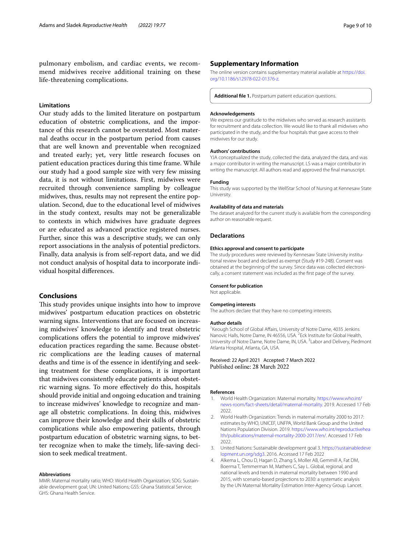#### **Limitations**

Our study adds to the limited literature on postpartum education of obstetric complications, and the importance of this research cannot be overstated. Most maternal deaths occur in the postpartum period from causes that are well known and preventable when recognized and treated early; yet, very little research focuses on patient education practices during this time frame. While our study had a good sample size with very few missing data, it is not without limitations. First, midwives were recruited through convenience sampling by colleague midwives, thus, results may not represent the entire population. Second, due to the educational level of midwives in the study context, results may not be generalizable to contexts in which midwives have graduate degrees or are educated as advanced practice registered nurses. Further, since this was a descriptive study, we can only report associations in the analysis of potential predictors. Finally, data analysis is from self-report data, and we did not conduct analysis of hospital data to incorporate individual hospital diferences.

#### **Conclusions**

This study provides unique insights into how to improve midwives' postpartum education practices on obstetric warning signs. Interventions that are focused on increasing midwives' knowledge to identify and treat obstetric complications ofers the potential to improve midwives' education practices regarding the same. Because obstetric complications are the leading causes of maternal deaths and time is of the essence in identifying and seeking treatment for these complications, it is important that midwives consistently educate patients about obstetric warning signs. To more efectively do this, hospitals should provide initial and ongoing education and training to increase midwives' knowledge to recognize and manage all obstetric complications. In doing this, midwives can improve their knowledge and their skills of obstetric complications while also empowering patients, through postpartum education of obstetric warning signs, to better recognize when to make the timely, life-saving decision to seek medical treatment.

#### **Abbreviations**

MMR: Maternal mortality ratio; WHO: World Health Organization; SDG: Sustainable development goal; UN: United Nations; GSS: Ghana Statistical Service; GHS: Ghana Health Service.

#### **Supplementary Information**

The online version contains supplementary material available at [https://doi.](https://doi.org/10.1186/s12978-022-01376-z) [org/10.1186/s12978-022-01376-z.](https://doi.org/10.1186/s12978-022-01376-z)

<span id="page-8-4"></span>**Additional fle 1.** Postpartum patient education questions.

#### **Acknowledgements**

We express our gratitude to the midwives who served as research assistants for recruitment and data collection. We would like to thank all midwives who participated in the study, and the four hospitals that gave access to their midwives for our study.

#### **Authors' contributions**

YJA conceptualized the study, collected the data, analyzed the data, and was a major contributor in writing the manuscript. LS was a major contributor in writing the manuscript. All authors read and approved the fnal manuscript.

#### **Funding**

This study was supported by the WellStar School of Nursing at Kennesaw State University.

#### **Availability of data and materials**

The dataset analyzed for the current study is available from the corresponding author on reasonable request.

#### **Declarations**

#### **Ethics approval and consent to participate**

The study procedures were reviewed by Kennesaw State University institutional review board and declared as exempt (Study #19-248). Consent was obtained at the beginning of the survey. Since data was collected electronically, a consent statement was included as the frst page of the survey.

#### **Consent for publication**

Not applicable.

#### **Competing interests**

The authors declare that they have no competing interests.

#### **Author details**

<sup>1</sup> Keough School of Global Affairs, University of Notre Dame, 4035 Jenkins Nanovic Halls, Notre Dame, IN 46556, USA. <sup>2</sup> Eck Institute for Global Health, University of Notre Dame, Notre Dame, IN, USA.<sup>3</sup> Labor and Delivery, Piedmont Atlanta Hospital, Atlanta, GA, USA.

Received: 22 April 2021 Accepted: 7 March 2022 Published online: 28 March 2022

#### **References**

- <span id="page-8-0"></span>1. World Health Organization: Maternal mortality. [https://www.who.int/](https://www.who.int/news-room/fact-sheets/detail/maternal-mortality) [news-room/fact-sheets/detail/maternal-mortality.](https://www.who.int/news-room/fact-sheets/detail/maternal-mortality) 2019. Accessed 17 Feb 2022.
- <span id="page-8-1"></span>2. World Health Organization: Trends in maternal mortality 2000 to 2017: estimates by WHO, UNICEF, UNFPA, World Bank Group and the United Nations Population Division. 2019. [https://www.who.int/reproductivehea](https://www.who.int/reproductivehealth/publications/maternal-mortality-2000-2017/en/) [lth/publications/maternal-mortality-2000-2017/en/.](https://www.who.int/reproductivehealth/publications/maternal-mortality-2000-2017/en/) Accessed 17 Feb 2022.
- <span id="page-8-2"></span>3. United Nations: Sustainable development goal 3. [https://sustainabledeve](https://sustainabledevelopment.un.org/sdg3) [lopment.un.org/sdg3.](https://sustainabledevelopment.un.org/sdg3) 2016. Accessed 17 Feb 2022
- <span id="page-8-3"></span>4. Alkema L, Chou D, Hagan D, Zhang S, Moller AB, Gemmill A, Fat DM, Boerma T, Temmerman M, Mathers C, Say L. Global, regional, and national levels and trends in maternal mortality between 1990 and 2015, with scenario-based projections to 2030: a systematic analysis by the UN Maternal Mortality Estimation Inter-Agency Group. Lancet.